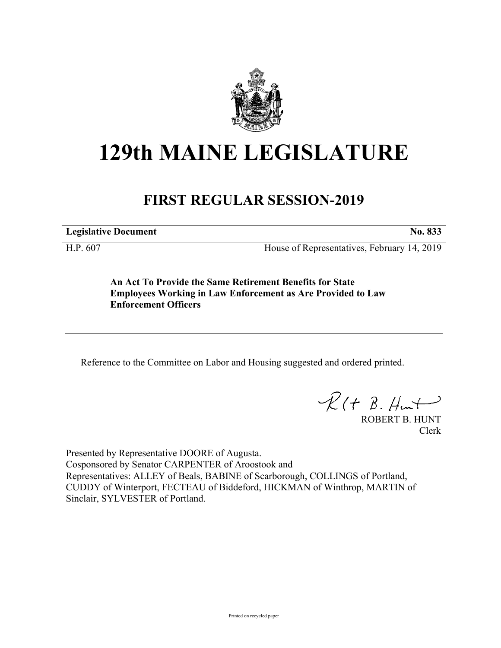

## **129th MAINE LEGISLATURE**

## **FIRST REGULAR SESSION-2019**

**Legislative Document No. 833**

H.P. 607 House of Representatives, February 14, 2019

**An Act To Provide the Same Retirement Benefits for State Employees Working in Law Enforcement as Are Provided to Law Enforcement Officers**

Reference to the Committee on Labor and Housing suggested and ordered printed.

 $\mathcal{R}(t \; \mathcal{B}, \mathcal{H}_{\mathsf{int}})$ 

ROBERT B. HUNT Clerk

Presented by Representative DOORE of Augusta. Cosponsored by Senator CARPENTER of Aroostook and Representatives: ALLEY of Beals, BABINE of Scarborough, COLLINGS of Portland, CUDDY of Winterport, FECTEAU of Biddeford, HICKMAN of Winthrop, MARTIN of Sinclair, SYLVESTER of Portland.